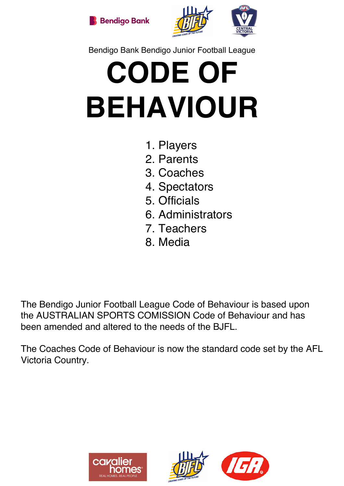



## Bendigo Bank Bendigo Junior Football League

# **CODE OF BEHAVIOUR**

- 1. Players
- 2. Parents
- 3. Coaches
- 4. Spectators
- 5. Officials
- 6. Administrators
- 7. Teachers
- 8. Media

The Bendigo Junior Football League Code of Behaviour is based upon the AUSTRALIAN SPORTS COMISSION Code of Behaviour and has been amended and altered to the needs of the BJFL.

The Coaches Code of Behaviour is now the standard code set by the AFL Victoria Country.





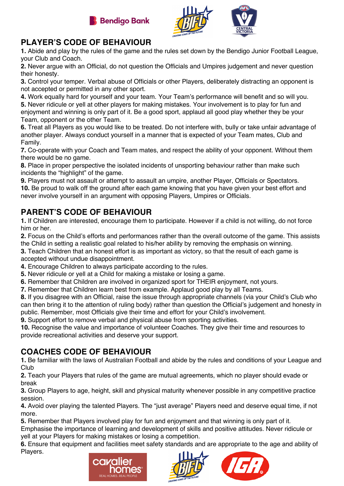



### **PLAYER'S CODE OF BEHAVIOUR**

**1.** Abide and play by the rules of the game and the rules set down by the Bendigo Junior Football League, your Club and Coach.

**2.** Never argue with an Official, do not question the Officials and Umpires judgement and never question their honesty.

**3.** Control your temper. Verbal abuse of Officials or other Players, deliberately distracting an opponent is not accepted or permitted in any other sport.

**4.** Work equally hard for yourself and your team. Your Team's performance will benefit and so will you. **5.** Never ridicule or yell at other players for making mistakes. Your involvement is to play for fun and enjoyment and winning is only part of it. Be a good sport, applaud all good play whether they be your Team, opponent or the other Team.

**6.** Treat all Players as you would like to be treated. Do not interfere with, bully or take unfair advantage of another player. Always conduct yourself in a manner that is expected of your Team mates, Club and Family.

**7.** Co-operate with your Coach and Team mates, and respect the ability of your opponent. Without them there would be no game.

**8.** Place in proper perspective the isolated incidents of unsporting behaviour rather than make such incidents the "highlight" of the game.

**9.** Players must not assault or attempt to assault an umpire, another Player, Officials or Spectators. **10.** Be proud to walk off the ground after each game knowing that you have given your best effort and never involve yourself in an argument with opposing Players, Umpires or Officials.

### **PARENT'S CODE OF BEHAVIOUR**

**1.** If Children are interested, encourage them to participate. However if a child is not willing, do not force him or her.

**2.** Focus on the Child's efforts and performances rather than the overall outcome of the game. This assists the Child in setting a realistic goal related to his/her ability by removing the emphasis on winning.

**3.** Teach Children that an honest effort is as important as victory, so that the result of each game is accepted without undue disappointment.

**4.** Encourage Children to always participate according to the rules.

- **5.** Never ridicule or yell at a Child for making a mistake or losing a game.
- **6.** Remember that Children are involved in organized sport for THEIR enjoyment, not yours.
- **7.** Remember that Children learn best from example. Applaud good play by all Teams.

**8.** If you disagree with an Official, raise the issue through appropriate channels (via your Child's Club who can then bring it to the attention of ruling body) rather than question the Official's judgement and honesty in public. Remember, most Officials give their time and effort for your Child's involvement.

**9.** Support effort to remove verbal and physical abuse from sporting activities.

**10.** Recognise the value and importance of volunteer Coaches. They give their time and resources to provide recreational activities and deserve your support.

## **COACHES CODE OF BEHAVIOUR**

**1.** Be familiar with the laws of Australian Football and abide by the rules and conditions of your League and Club

**2.** Teach your Players that rules of the game are mutual agreements, which no player should evade or break

**3.** Group Players to age, height, skill and physical maturity whenever possible in any competitive practice session.

**4.** Avoid over playing the talented Players. The "just average" Players need and deserve equal time, if not more.

**5.** Remember that Players involved play for fun and enjoyment and that winning is only part of it.

Emphasise the importance of learning and development of skills and positive attitudes. Never ridicule or yell at your Players for making mistakes or losing a competition.

**6.** Ensure that equipment and facilities meet safety standards and are appropriate to the age and ability of Players.





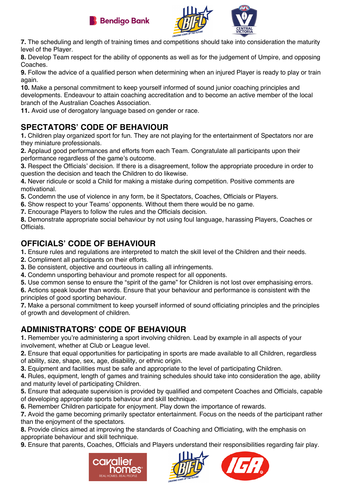



**7.** The scheduling and length of training times and competitions should take into consideration the maturity level of the Player.

**8.** Develop Team respect for the ability of opponents as well as for the judgement of Umpire, and opposing Coaches.

**9.** Follow the advice of a qualified person when determining when an injured Player is ready to play or train again.

**10.** Make a personal commitment to keep yourself informed of sound junior coaching principles and developments. Endeavour to attain coaching accreditation and to become an active member of the local branch of the Australian Coaches Association.

**11.** Avoid use of derogatory language based on gender or race.

## **SPECTATORS' CODE OF BEHAVIOUR**

**1.** Children play organized sport for fun. They are not playing for the entertainment of Spectators nor are they miniature professionals.

**2.** Applaud good performances and efforts from each Team. Congratulate all participants upon their performance regardless of the game's outcome.

**3.** Respect the Officials' decision. If there is a disagreement, follow the appropriate procedure in order to question the decision and teach the Children to do likewise.

**4.** Never ridicule or scold a Child for making a mistake during competition. Positive comments are motivational.

**5.** Condemn the use of violence in any form, be it Spectators, Coaches, Officials or Players.

- **6.** Show respect to your Teams' opponents. Without them there would be no game.
- **7.** Encourage Players to follow the rules and the Officials decision.

**8.** Demonstrate appropriate social behaviour by not using foul language, harassing Players, Coaches or **Officials** 

#### **OFFICIALS' CODE OF BEHAVIOUR**

**1.** Ensure rules and regulations are interpreted to match the skill level of the Children and their needs.

- **2.** Compliment all participants on their efforts.
- **3.** Be consistent, objective and courteous in calling all infringements.
- **4.** Condemn unsporting behaviour and promote respect for all opponents.

**5.** Use common sense to ensure the "spirit of the game" for Children is not lost over emphasising errors.

**6.** Actions speak louder than words. Ensure that your behaviour and performance is consistent with the principles of good sporting behaviour.

**7.** Make a personal commitment to keep yourself informed of sound officiating principles and the principles of growth and development of children.

## **ADMINISTRATORS' CODE OF BEHAVIOUR**

**1.** Remember you're administering a sport involving children. Lead by example in all aspects of your involvement, whether at Club or League level.

**2.** Ensure that equal opportunities for participating in sports are made available to all Children, regardless of ability, size, shape, sex, age, disability, or ethnic origin.

**3.** Equipment and facilities must be safe and appropriate to the level of participating Children.

**4.** Rules, equipment, length of games and training schedules should take into consideration the age, ability and maturity level of participating Children.

**5.** Ensure that adequate supervision is provided by qualified and competent Coaches and Officials, capable of developing appropriate sports behaviour and skill technique.

**6.** Remember Children participate for enjoyment. Play down the importance of rewards.

**7.** Avoid the game becoming primarily spectator entertainment. Focus on the needs of the participant rather than the enjoyment of the spectators.

**8.** Provide clinics aimed at improving the standards of Coaching and Officiating, with the emphasis on appropriate behaviour and skill technique.

**9.** Ensure that parents, Coaches, Officials and Players understand their responsibilities regarding fair play.